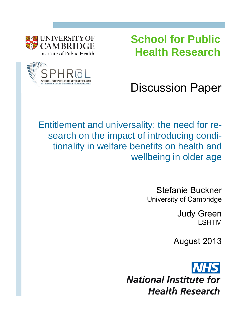**School for Public Health Research**



**UNIVERSITY OF ARRI** 

Discussion Paper

Entitlement and universality: the need for research on the impact of introducing conditionality in welfare benefits on health and wellbeing in older age

> Stefanie Buckner University of Cambridge

> > Judy Green LSHTM

August 2013

**National Institute for Health Research**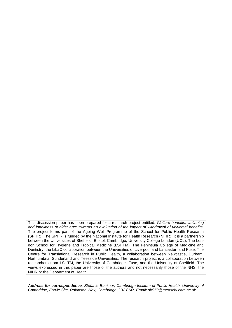This discussion paper has been prepared for a research project entitled: *Welfare benefits, wellbeing and loneliness at older age: towards an evaluation of the impact of withdrawal of universal benefits*. The project forms part of the Ageing Well Programme of the School for Public Health Research (SPHR). The SPHR is funded by the National Institute for Health Research (NIHR). It is a partnership between the Universities of Sheffield, Bristol, Cambridge, University College London (UCL); The London School for Hygiene and Tropical Medicine (LSHTM); The Peninsula College of Medicine and Dentistry; the LiLaC collaboration between the Universities of Liverpool and Lancaster, and Fuse; The Centre for Translational Research in Public Health, a collaboration between Newcastle, Durham, Northumbria, Sunderland and Teesside Universities. The research project is a collaboration between researchers from LSHTM, the University of Cambridge, Fuse, and the University of Sheffield. The views expressed in this paper are those of the authors and not necessarily those of the NHS, the NIHR or the Department of Health.

*Address for correspondence: Stefanie Buckner, Cambridge Institute of Public Health, University of Cambridge, Forvie Site, Robinson Way, Cambridge CB2 0SR, Email: [sb959@medschl.cam.ac.uk](mailto:sb959@medschl.cam.ac.uk)*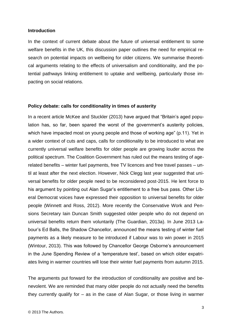### **Introduction**

In the context of current debate about the future of universal entitlement to some welfare benefits in the UK, this discussion paper outlines the need for empirical research on potential impacts on wellbeing for older citizens. We summarise theoretical arguments relating to the effects of universalism and conditionality, and the potential pathways linking entitlement to uptake and wellbeing, particularly those impacting on social relations.

## **Policy debate: calls for conditionality in times of austerity**

In a recent article [McKee and Stuckler \(2013\)](#page-10-0) have argued that "Britain's aged population has, so far, been spared the worst of the government's austerity policies, which have impacted most on young people and those of working age" (p.11). Yet in a wider context of cuts and caps, calls for conditionality to be introduced to what are currently universal welfare benefits for older people are growing louder across the political spectrum. The Coalition Government has ruled out the means testing of agerelated benefits – winter fuel payments, free TV licences and free travel passes – until at least after the next election. However, Nick Clegg last year suggested that universal benefits for older people need to be reconsidered post-2015. He lent force to his argument by pointing out Alan Sugar's entitlement to a free bus pass. Other Liberal Democrat voices have expressed their opposition to universal benefits for older people [\(Winnett and Ross, 2012\)](#page-12-0). More recently the Conservative Work and Pensions Secretary Iain Duncan Smith suggested older people who do not depend on universal benefits return them voluntarily [\(The Guardian, 2013a\)](#page-11-0). In June 2013 Labour's Ed Balls, the Shadow Chancellor, announced the means testing of winter fuel payments as a likely measure to be introduced if Labour was to win power in 2015 [\(Wintour, 2013\)](#page-12-1). This was followed by Chancellor George Osborne's announcement in the June Spending Review of a 'temperature test', based on which older expatriates living in warmer countries will lose their winter fuel payments from autumn 2015.

The arguments put forward for the introduction of conditionality are positive and benevolent. We are reminded that many older people do not actually need the benefits they currently qualify for – as in the case of Alan Sugar, or those living in warmer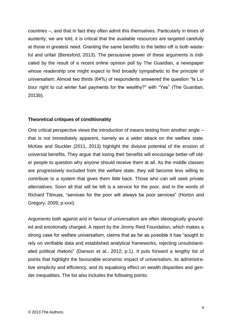countries –, and that in fact they often admit this themselves. Particularly in times of austerity, we are told, it is critical that the available resources are targeted carefully at those in greatest need. Granting the same benefits to the better-off is both wasteful and unfair [\(Beresford, 2013\)](#page-10-1). The persuasive power of these arguments is indicated by the result of a recent online opinion poll by The Guardian, a newspaper whose readership one might expect to find broadly sympathetic to the principle of universalism: Almost two thirds (64%) of respondents answered the question "Is Labour right to cut winter fuel payments for the wealthy?" with "Yes" [\(The Guardian,](#page-11-1)  [2013b\)](#page-11-1).

### **Theoretical critiques of conditionality**

One critical perspective views the introduction of means testing from another angle – that is not immediately apparent, namely as a wider attack on the welfare state. McKee and Stuckler [\(2011,](#page-10-2) [2013\)](#page-10-0) highlight the divisive potential of the erosion of universal benefits. They argue that losing their benefits will encourage better-off older people to question why anyone should receive them at all. As the middle classes are progressively excluded from the welfare state, they will become less willing to contribute to a system that gives them little back. Those who can will seek private alternatives. Soon all that will be left is a service for the poor, and in the words of Richard Titmuss, "services for the poor will always be poor services" [\(Horton and](#page-10-3)  [Gregory, 2009; p.xxxi\)](#page-10-3).

Arguments both against and in favour of universalism are often ideologically grounded and emotionally charged. A report by the Jimmy Reid Foundation, which makes a strong case for welfare universalism, claims that as far as possible it has "sought to rely on verifiable data and established analytical frameworks, rejecting unsubstantiated political rhetoric" [\(Danson et al., 2012; p.1\)](#page-10-4). It puts forward a lengthy list of points that highlight the favourable economic impact of universalism, its administrative simplicity and efficiency, and its equalising effect on wealth disparities and gender inequalities. The list also includes the following points: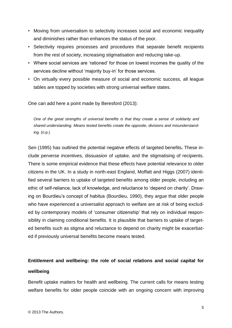- Moving from universalism to selectivity increases social and economic inequality and diminishes rather than enhances the status of the poor.
- Selectivity requires processes and procedures that separate benefit recipients from the rest of society, increasing stigmatisation and reducing take-up.
- Where social services are 'rationed' for those on lowest incomes the quality of the services decline without 'majority buy-in' for those services.
- On virtually every possible measure of social and economic success, all league tables are topped by societies with strong universal welfare states.

One can add here a point made by [Beresford \(2013\)](#page-10-1):

*One of the great strengths of universal benefits is that they create a sense of solidarity and shared understanding. Means tested benefits create the opposite, divisions and misunderstanding.* (n.p.)

[Sen \(1995\)](#page-11-2) has outlined the potential negative effects of targeted benefits**.** These include perverse incentives, dissuasion of uptake, and the stigmatising of recipients. There is some empirical evidence that these effects have potential relevance to older citizens in the UK. In a study in north-east England, [Moffatt and Higgs \(2007\)](#page-11-3) identified several barriers to uptake of targeted benefits among older people, including an ethic of self-reliance, lack of knowledge, and reluctance to 'depend on charity'. Drawing on Bourdieu's concept of habitus [\(Bourdieu, 1990\)](#page-10-5), they argue that older people who have experienced a universalist approach to welfare are at risk of being excluded by contemporary models of 'consumer citizenship' that rely on individual responsibility in claiming conditional benefits. It is plausible that barriers to uptake of targeted benefits such as stigma and reluctance to depend on charity might be exacerbated if previously universal benefits become means tested.

# **Entitlement and wellbeing: the role of social relations and social capital for wellbeing**

Benefit uptake matters for health and wellbeing. The current calls for means testing welfare benefits for older people coincide with an ongoing concern with improving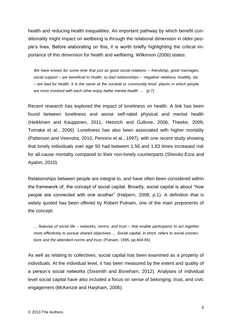health and reducing health inequalities. An important pathway by which benefit conditionality might impact on wellbeing is through the relational dimension in older people's lives. Before elaborating on this, it is worth briefly highlighting the critical importance of this dimension for health and wellbeing. [Wilkinson \(2006\)](#page-11-4) states:

*We have known for some time that just as good social relations – friendship, good marriages, social support – are beneficial to health, so bad relationships – 'negative' relations, hostility, etc. – are bad for health. It is the same at the societal or community level: places in which people are more involved with each other enjoy better mental health ….* (p.7)

Recent research has explored the impact of loneliness on health. A link has been found between loneliness and worse self-rated physical and mental health [\(Heikkinen and Kauppinen, 2011,](#page-10-6) [Heinrich and Gullone, 2006,](#page-10-7) [Theeke, 2009,](#page-11-5) [Tomaka et al., 2006\)](#page-11-6). Loneliness has also been associated with higher mortality [\(Patterson and Veenstra, 2010,](#page-11-7) [Penninx et al., 1997\)](#page-11-8), with one recent study showing that lonely individuals over age 50 had between 1.56 and 1.83 times increased risk for all-cause mortality compared to their non-lonely counterparts [\(Shiovitz-Ezra and](#page-11-9)  [Ayalon, 2010\)](#page-11-9).

Relationships between people are integral to, and have often been considered within the framework of, the concept of social capital. Broadly, social capital is about "how people are connected with one another" [\(Halpern, 2008; p.1\)](#page-10-8). A definition that is widely quoted has been offered by Robert Putnam, one of the main proponents of the concept:

*… features of social life – networks, norms, and trust – that enable participants to act together more effectively to pursue shared objectives … Social capital, in short, refers to social connections and the attendant norms and trust.* [\(Putnam, 1995; pp.664-65\)](#page-11-10)

As well as relating to collectives, social capital has been examined as a property of individuals. At the individual level, it has been measured by the extent and quality of a person's social networks [\(Sixsmith and Boneham, 2012\)](#page-11-11). Analyses of individual level social capital have also included a focus on sense of belonging, trust, and civic engagement [\(McKenzie and Harpham, 2006\)](#page-10-9).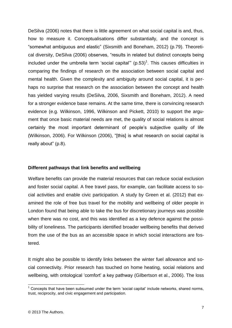[DeSilva \(2006\)](#page-10-10) notes that there is little agreement on what social capital is and, thus, how to measure it. Conceptualisations differ substantially, and the concept is "somewhat ambiguous and elastic" [\(Sixsmith and Boneham, 2012\)](#page-11-11) (p.79). Theoretical diversity, [DeSilva \(2006\)](#page-10-10) observes, "results in related but distinct concepts being included under the umbrella term 'social capital"  $(p.53)^1$ . This causes difficulties in comparing the findings of research on the association between social capital and mental health. Given the complexity and ambiguity around social capital, it is perhaps no surprise that research on the association between the concept and health has yielded varying results [\(DeSilva, 2006,](#page-10-10) [Sixsmith and Boneham, 2012\)](#page-11-11). A need for a stronger evidence base remains. At the same time, there is convincing research evidence (e.g. [Wilkinson, 1996,](#page-11-12) [Wilkinson and Pickett, 2010\)](#page-12-2) to support the argument that once basic material needs are met, the quality of social relations is almost certainly the most important determinant of people's subjective quality of life [\(Wilkinson, 2006\)](#page-11-4). For [Wilkinson \(2006\)](#page-11-4), "[this] is what research on social capital is really about" (p.8).

## **Different pathways that link benefits and wellbeing**

Welfare benefits can provide the material resources that can reduce social exclusion and foster social capital. A free travel pass, for example, can facilitate access to social activities and enable civic participation. A study by [Green et al. \(2012\)](#page-10-11) that examined the role of free bus travel for the mobility and wellbeing of older people in London found that being able to take the bus for discretionary journeys was possible when there was no cost, and this was identified as a key defence against the possibility of loneliness. The participants identified broader wellbeing benefits that derived from the use of the bus as an accessible space in which social interactions are fostered.

It might also be possible to identify links between the winter fuel allowance and social connectivity. Prior research has touched on home heating, social relations and wellbeing, with ontological 'comfort' a key pathway [\(Gilbertson et al., 2006\)](#page-10-12). The loss

 $\overline{1}$ 

 $1$  Concepts that have been subsumed under the term 'social capital' include networks, shared norms, trust, reciprocity, and civic engagement and participation.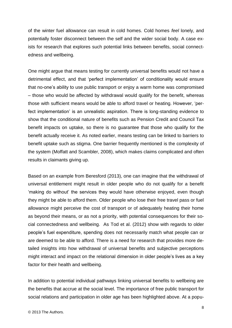of the winter fuel allowance can result in cold homes. Cold homes *feel* lonely, and potentially foster disconnect between the self and the wider social body. A case exists for research that explores such potential links between benefits, social connectedness and wellbeing.

One might argue that means testing for currently universal benefits would not have a detrimental effect, and that 'perfect implementation' of conditionality would ensure that no-one's ability to use public transport or enjoy a warm home was compromised – those who would be affected by withdrawal would qualify for the benefit, whereas those with sufficient means would be able to afford travel or heating. However, 'perfect implementation' is an unrealistic aspiration. There is long-standing evidence to show that the conditional nature of benefits such as Pension Credit and Council Tax benefit impacts on uptake, so there is no guarantee that those who qualify for the benefit actually receive it. As noted earlier, means testing can be linked to barriers to benefit uptake such as stigma. One barrier frequently mentioned is the complexity of the system [\(Moffatt and Scambler, 2008\)](#page-11-13), which makes claims complicated and often results in claimants giving up.

Based on an example from [Beresford \(2013\)](#page-10-1), one can imagine that the withdrawal of universal entitlement might result in older people who do not qualify for a benefit 'making do without' the services they would have otherwise enjoyed, even though they might be able to afford them. Older people who lose their free travel pass or fuel allowance might perceive the cost of transport or of adequately heating their home as beyond their means, or as not a priority, with potential consequences for their social connectedness and wellbeing. As [Tod et al. \(2012\)](#page-11-14) show with regards to older people's fuel expenditure, spending does not necessarily match what people can or are deemed to be able to afford. There is a need for research that provides more detailed insights into how withdrawal of universal benefits and subjective perceptions might interact and impact on the relational dimension in older people's lives as a key factor for their health and wellbeing.

In addition to potential individual pathways linking universal benefits to wellbeing are the benefits that accrue at the social level. The importance of free public transport for social relations and participation in older age has been highlighted above. At a popu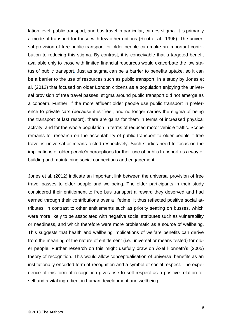lation level, public transport, and bus travel in particular, carries stigma. It is primarily a mode of transport for those with few other options [\(Root et al., 1996\)](#page-11-15). The universal provision of free public transport for older people can make an important contribution to reducing this stigma. By contrast, it is conceivable that a targeted benefit available only to those with limited financial resources would exacerbate the low status of public transport. Just as stigma can be a barrier to benefits uptake, so it can be a barrier to the use of resources such as public transport. In a study by [Jones et](#page-10-13)  [al. \(2012\)](#page-10-13) that focused on older London citizens as a population enjoying the universal provision of free travel passes, stigma around public transport did not emerge as a concern. Further, if the more affluent older people use public transport in preference to private cars (because it is 'free', and no longer carries the stigma of being the transport of last resort), there are gains for them in terms of increased physical activity, and for the whole population in terms of reduced motor vehicle traffic. Scope remains for research on the acceptability of public transport to older people if free travel is universal or means tested respectively. Such studies need to focus on the implications of older people's perceptions for their use of public transport as a way of building and maintaining social connections and engagement.

[Jones et al. \(2012\)](#page-10-13) indicate an important link between the universal provision of free travel passes to older people and wellbeing. The older participants in their study considered their entitlement to free bus transport a reward they deserved and had earned through their contributions over a lifetime. It thus reflected positive social attributes, in contrast to other entitlements such as priority seating on busses, which were more likely to be associated with negative social attributes such as vulnerability or neediness, and which therefore were more problematic as a source of wellbeing. This suggests that health and wellbeing implications of welfare benefits can derive from the meaning of the nature of entitlement (i.e. universal or means tested) for older people. Further research on this might usefully draw on Axel Honneth's [\(2005\)](#page-10-14) theory of recognition. This would allow conceptualisation of universal benefits as an institutionally encoded form of recognition and a symbol of social respect. The experience of this form of recognition gives rise to self-respect as a positive relation-toself and a vital ingredient in human development and wellbeing.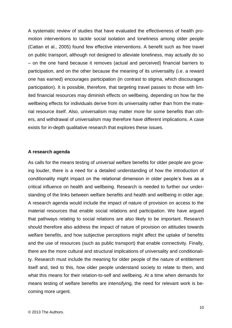A systematic review of studies that have evaluated the effectiveness of health promotion interventions to tackle social isolation and loneliness among older people [\(Cattan et al., 2005\)](#page-10-15) found few effective interventions. A benefit such as free travel on public transport, although not designed to alleviate loneliness, may actually do so – on the one hand because it removes (actual and perceived) financial barriers to participation, and on the other because the meaning of its universality (i.e. a reward one has earned) encourages participation (in contrast to stigma, which discourages participation). It is possible, therefore, that targeting travel passes to those with limited financial resources may diminish effects on wellbeing, depending on how far the wellbeing effects for individuals derive from its universality rather than from the material resource itself. Also, universalism may matter more for some benefits than others, and withdrawal of universalism may therefore have different implications. A case exists for in-depth qualitative research that explores these issues.

### **A research agenda**

As calls for the means testing of universal welfare benefits for older people are growing louder, there is a need for a detailed understanding of how the introduction of conditionality might impact on the relational dimension in older people's lives as a critical influence on health and wellbeing. Research is needed to further our understanding of the links between welfare benefits and health and wellbeing in older age. A research agenda would include the impact of nature of provision on access to the material resources that enable social relations and participation. We have argued that pathways relating to social relations are also likely to be important. Research should therefore also address the impact of nature of provision on attitudes towards welfare benefits, and how subjective perceptions might affect the uptake of benefits and the use of resources (such as public transport) that enable connectivity. Finally, there are the more cultural and structural implications of universality and conditionality. Research must include the meaning for older people of the nature of entitlement itself and, tied to this, how older people understand society to relate to them, and what this means for their relation-to-self and wellbeing. At a time when demands for means testing of welfare benefits are intensifying, the need for relevant work is becoming more urgent.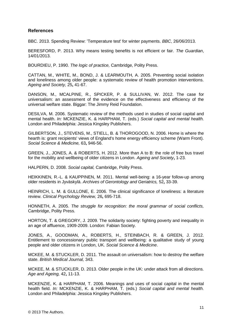### **References**

BBC. 2013. Spending Review: 'Temperature test' for winter payments. *BBC*, 26/06/2013.

<span id="page-10-1"></span>BERESFORD, P. 2013. Why means testing benefits is not efficient or fair. *The Guardian*, 14/01/2013.

<span id="page-10-5"></span>BOURDIEU, P. 1990. *The logic of practice,* Cambridge, Polity Press.

<span id="page-10-15"></span>CATTAN, M., WHITE, M., BOND, J. & LEARMOUTH, A. 2005. Preventing social isolation and loneliness among older people: a systematic review of health promotion interventions. *Ageing and Society,* 25**,** 41-67.

<span id="page-10-4"></span>DANSON, M., MCALPINE, R., SPICKER, P. & SULLIVAN, W. 2012. The case for universalism: an assessment of the evidence on the effectiveness and efficiency of the universal welfare state. Biggar: The Jimmy Reid Foundation.

<span id="page-10-10"></span>DESILVA, M. 2006. Systematic review of the methods used in studies of social capital and mental health. *In:* MCKENZIE, K. & HARPHAM, T. (eds.) *Social capital and mental health.* London and Philadelphia: Jessica Kingsley Publishers.

<span id="page-10-12"></span>GILBERTSON, J., STEVENS, M., STIELL, B. & THOROGOOD, N. 2006. Home is where the hearth is: grant recipients' views of England's home energy efficiency scheme (Warm Front). *Social Science & Medicine,* 63**,** 946-56.

<span id="page-10-11"></span>GREEN, J., JONES, A. & ROBERTS, H. 2012. More than A to B: the role of free bus travel for the mobility and wellbeing of older citizens in London. *Ageing and Society***,** 1-23.

<span id="page-10-8"></span>HALPERN, D. 2008. *Social capital,* Cambridge, Polity Press.

<span id="page-10-6"></span>HEIKKINEN, R.-L. & KAUPPINEN, M. 2011. Mental well-being: a 16-year follow-up among older residents in Jyväskylä. *Archives of Gerontology and Geriatrics,* 52**,** 33-39.

<span id="page-10-7"></span>HEINRICH, L. M. & GULLONE, E. 2006. The clinical significance of loneliness: a literature review. *Clinical Psychology Review,* 26**,** 695-718.

<span id="page-10-14"></span>HONNETH, A. 2005. *The struggle for recognition: the moral grammar of social conflicts,*  Cambridge, Polity Press.

<span id="page-10-3"></span>HORTON, T. & GREGORY, J. 2009. The solidarity society: fighting poverty and inequality in an age of affluence, 1909-2009. London: Fabian Society.

<span id="page-10-13"></span>JONES, A., GOODMAN, A., ROBERTS, H., STEINBACH, R. & GREEN, J. 2012. Entitlement to concessionary public transport and wellbeing: a qualitative study of young people and older citizens in London, UK. *Social Science & Medicine*.

<span id="page-10-2"></span>MCKEE, M. & STUCKLER, D. 2011. The assault on universalism: how to destroy the welfare state. *British Medical Journal,* 343.

<span id="page-10-0"></span>MCKEE, M. & STUCKLER, D. 2013. Older people in the UK: under attack from all directions. *Age and Ageing,* 42**,** 11-13.

<span id="page-10-9"></span>MCKENZIE, K. & HARPHAM, T. 2006. Meanings and uses of social capital in the mental health field. *In:* MCKENZIE, K. & HARPHAM, T. (eds.) *Social capital and mental health.* London and Philadelphia: Jessica Kingsley Publishers.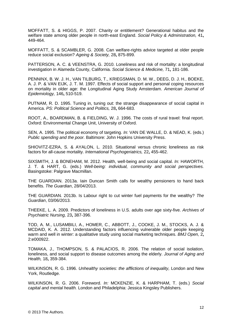<span id="page-11-3"></span>MOFFATT, S. & HIGGS, P. 2007. Charity or entitlement? Generational habitus and the welfare state among older people in north-east England. *Social Policy & Administration,* 41**,** 449-464.

<span id="page-11-13"></span>MOFFATT, S. & SCAMBLER, G. 2008. Can welfare-rights advice targeted at older people reduce social exclusion? *Ageing & Society,* 28**,** 875-899.

<span id="page-11-7"></span>PATTERSON, A. C. & VEENSTRA, G. 2010. Loneliness and risk of mortality: a longitudinal investigation in Alameda County, California. *Social Science & Medicine,* 71**,** 181-186.

<span id="page-11-8"></span>PENNINX, B. W. J. H., VAN TILBURG, T., KRIEGSMAN, D. M. W., DEEG, D. J. H., BOEKE, A. J. P. & VAN EIJK, J. T. M. 1997. Effects of social support and personal coping resources on mortality in older age: the Longitudinal Aging Study Amsterdam. *American Journal of Epidemiology,* 146**,** 510-519.

<span id="page-11-10"></span>PUTNAM, R. D. 1995. Tuning in, tuning out: the strange disappearance of social capital in America. *PS: Political Science and Politics,* 28**,** 664-683.

<span id="page-11-15"></span>ROOT, A., BOARDMAN, B. & FIELDING, W. J. 1996. The costs of rural travel: final report. Oxford: Environmental Change Unit, University of Oxford.

<span id="page-11-2"></span>SEN, A. 1995. The political economy of targeting. *In:* VAN DE WALLE, D. & NEAD, K. (eds.) *Public spending and the poor.* Baltimore: John Hopkins University Press.

<span id="page-11-9"></span>SHIOVITZ-EZRA, S. & AYALON, L. 2010. Situational versus chronic loneliness as risk factors for all-cause mortality. *International Psychogeriatrics,* 22**,** 455-462.

<span id="page-11-11"></span>SIXSMITH, J. & BONEHAM, M. 2012. Health, well-being and social capital. *In:* HAWORTH, J. T. & HART, G. (eds.) *Well-being: individual, community and social perspectives.* Basingstoke: Palgrave Macmillan.

<span id="page-11-0"></span>THE GUARDIAN. 2013a. Iain Duncan Smith calls for wealthy pensioners to hand back benefits. *The Guardian*, 28/04/2013.

<span id="page-11-1"></span>THE GUARDIAN. 2013b. Is Labour right to cut winter fuel payments for the wealthy? *The Guardian*, 03/06/2013.

<span id="page-11-5"></span>THEEKE, L. A. 2009. Predictors of loneliness in U.S. adults over age sixty-five. *Archives of Psychiatric Nursing,* 23**,** 387-396.

<span id="page-11-14"></span>TOD, A. M., LUSAMBILI, A., HOMER, C., ABBOTT, J., COOKE, J. M., STOCKS, A. J. & MCDAID, K. A. 2012. Understanding factors influencing vulnerable older people keeping warm and well in winter: a qualitative study using social marketing techniques. *BMJ Open,* 2**,** 2:e000922.

<span id="page-11-6"></span>TOMAKA, J., THOMPSON, S. & PALACIOS, R. 2006. The relation of social isolation, loneliness, and social support to disease outcomes among the elderly. *Journal of Aging and Health,* 18**,** 359-384.

<span id="page-11-12"></span>WILKINSON, R. G. 1996. *Unhealthy societies: the afflictions of inequality,* London and New York, Routledge.

<span id="page-11-4"></span>WILKINSON, R. G. 2006. Foreword. *In:* MCKENZIE, K. & HARPHAM, T. (eds.) *Social capital and mental health.* London and Philadelphia: Jessica Kingsley Publishers.